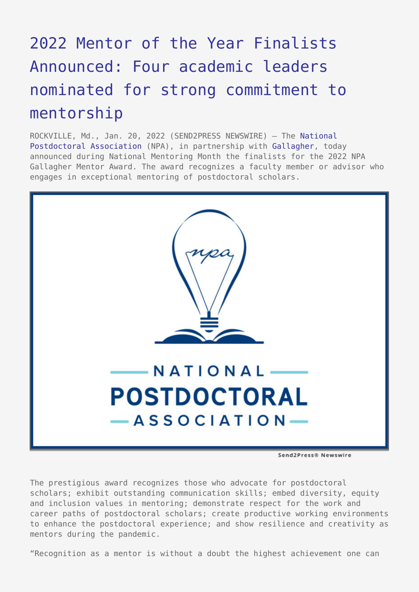## [2022 Mentor of the Year Finalists](https://www.send2press.com/wire/2022-mentor-of-the-year-finalists-announced-four-academic-leaders-nominated-for-strong-commitment-to-mentorship/) [Announced: Four academic leaders](https://www.send2press.com/wire/2022-mentor-of-the-year-finalists-announced-four-academic-leaders-nominated-for-strong-commitment-to-mentorship/) [nominated for strong commitment to](https://www.send2press.com/wire/2022-mentor-of-the-year-finalists-announced-four-academic-leaders-nominated-for-strong-commitment-to-mentorship/) [mentorship](https://www.send2press.com/wire/2022-mentor-of-the-year-finalists-announced-four-academic-leaders-nominated-for-strong-commitment-to-mentorship/)

ROCKVILLE, Md., Jan. 20, 2022 (SEND2PRESS NEWSWIRE) — The [National](https://www.nationalpostdoc.org/) [Postdoctoral Association](https://www.nationalpostdoc.org/) (NPA), in partnership with [Gallagher](https://www.ajg.com/), today announced during National Mentoring Month the finalists for the 2022 NPA Gallagher Mentor Award. The award recognizes a faculty member or advisor who engages in exceptional mentoring of postdoctoral scholars.



Send2Press® Newswire

The prestigious award recognizes those who advocate for postdoctoral scholars; exhibit outstanding communication skills; embed diversity, equity and inclusion values in mentoring; demonstrate respect for the work and career paths of postdoctoral scholars; create productive working environments to enhance the postdoctoral experience; and show resilience and creativity as mentors during the pandemic.

"Recognition as a mentor is without a doubt the highest achievement one can